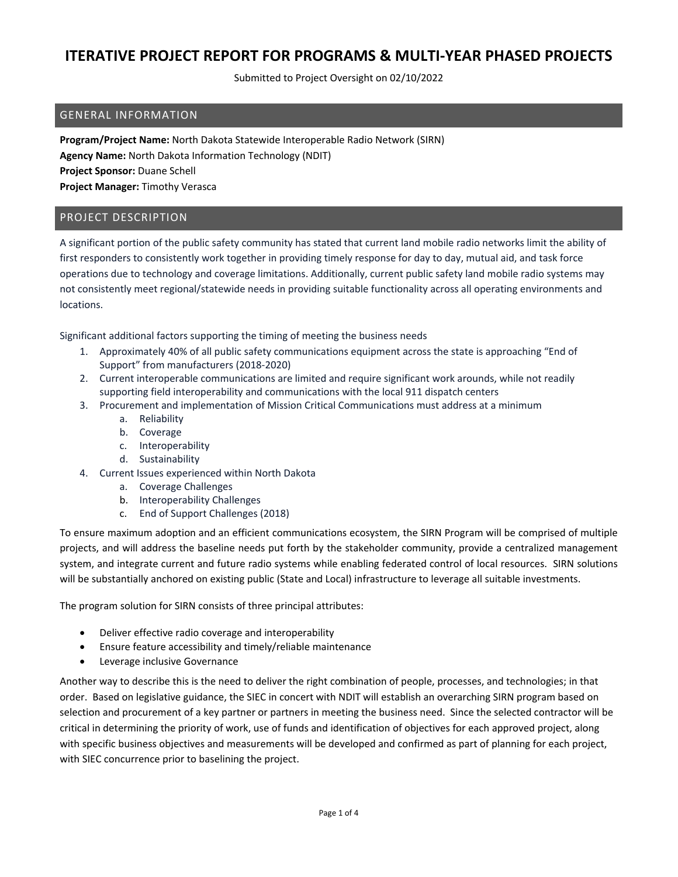Submitted to Project Oversight on 02/10/2022

#### GENERAL INFORMATION

**Program/Project Name:** North Dakota Statewide Interoperable Radio Network (SIRN) **Agency Name:** North Dakota Information Technology (NDIT) **Project Sponsor:** Duane Schell **Project Manager:** Timothy Verasca

#### PROJECT DESCRIPTION

A significant portion of the public safety community has stated that current land mobile radio networks limit the ability of first responders to consistently work together in providing timely response for day to day, mutual aid, and task force operations due to technology and coverage limitations. Additionally, current public safety land mobile radio systems may not consistently meet regional/statewide needs in providing suitable functionality across all operating environments and locations.

Significant additional factors supporting the timing of meeting the business needs

- 1. Approximately 40% of all public safety communications equipment across the state is approaching "End of Support" from manufacturers (2018‐2020)
- 2. Current interoperable communications are limited and require significant work arounds, while not readily supporting field interoperability and communications with the local 911 dispatch centers
- 3. Procurement and implementation of Mission Critical Communications must address at a minimum
	- a. Reliability
	- b. Coverage
	- c. Interoperability
	- d. Sustainability
- 4. Current Issues experienced within North Dakota
	- a. Coverage Challenges
	- b. Interoperability Challenges
	- c. End of Support Challenges (2018)

To ensure maximum adoption and an efficient communications ecosystem, the SIRN Program will be comprised of multiple projects, and will address the baseline needs put forth by the stakeholder community, provide a centralized management system, and integrate current and future radio systems while enabling federated control of local resources. SIRN solutions will be substantially anchored on existing public (State and Local) infrastructure to leverage all suitable investments.

The program solution for SIRN consists of three principal attributes:

- Deliver effective radio coverage and interoperability
- Ensure feature accessibility and timely/reliable maintenance
- **•** Leverage inclusive Governance

Another way to describe this is the need to deliver the right combination of people, processes, and technologies; in that order. Based on legislative guidance, the SIEC in concert with NDIT will establish an overarching SIRN program based on selection and procurement of a key partner or partners in meeting the business need. Since the selected contractor will be critical in determining the priority of work, use of funds and identification of objectives for each approved project, along with specific business objectives and measurements will be developed and confirmed as part of planning for each project, with SIEC concurrence prior to baselining the project.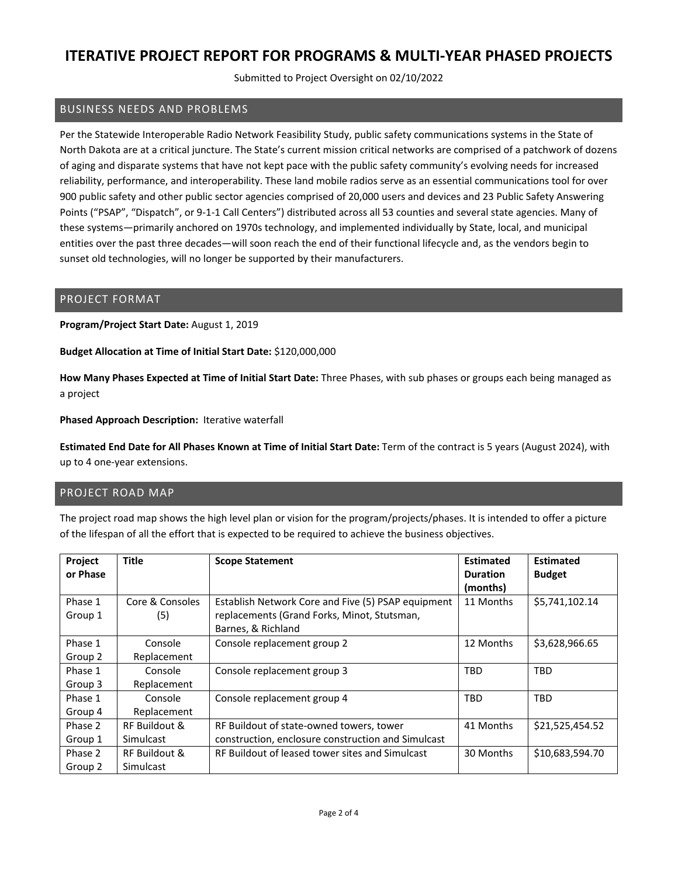Submitted to Project Oversight on 02/10/2022

### BUSINESS NEEDS AND PROBLEMS

Per the Statewide Interoperable Radio Network Feasibility Study, public safety communications systems in the State of North Dakota are at a critical juncture. The State's current mission critical networks are comprised of a patchwork of dozens of aging and disparate systems that have not kept pace with the public safety community's evolving needs for increased reliability, performance, and interoperability. These land mobile radios serve as an essential communications tool for over 900 public safety and other public sector agencies comprised of 20,000 users and devices and 23 Public Safety Answering Points ("PSAP", "Dispatch", or 9‐1‐1 Call Centers") distributed across all 53 counties and several state agencies. Many of these systems—primarily anchored on 1970s technology, and implemented individually by State, local, and municipal entities over the past three decades—will soon reach the end of their functional lifecycle and, as the vendors begin to sunset old technologies, will no longer be supported by their manufacturers.

#### PROJECT FORMAT

**Program/Project Start Date:** August 1, 2019

**Budget Allocation at Time of Initial Start Date:** \$120,000,000

**How Many Phases Expected at Time of Initial Start Date:** Three Phases, with sub phases or groups each being managed as a project

**Phased Approach Description:** Iterative waterfall

**Estimated End Date for All Phases Known at Time of Initial Start Date:** Term of the contract is 5 years (August 2024), with up to 4 one‐year extensions.

#### PROJECT ROAD MAP

The project road map shows the high level plan or vision for the program/projects/phases. It is intended to offer a picture of the lifespan of all the effort that is expected to be required to achieve the business objectives.

| <b>Project</b> | <b>Title</b>    | <b>Scope Statement</b>                             | <b>Estimated</b> | <b>Estimated</b> |
|----------------|-----------------|----------------------------------------------------|------------------|------------------|
| or Phase       |                 |                                                    | <b>Duration</b>  | <b>Budget</b>    |
|                |                 |                                                    | (months)         |                  |
| Phase 1        | Core & Consoles | Establish Network Core and Five (5) PSAP equipment | 11 Months        | \$5,741,102.14   |
| Group 1        | (5)             | replacements (Grand Forks, Minot, Stutsman,        |                  |                  |
|                |                 | Barnes, & Richland                                 |                  |                  |
| Phase 1        | Console         | Console replacement group 2                        | 12 Months        | \$3,628,966.65   |
| Group 2        | Replacement     |                                                    |                  |                  |
| Phase 1        | Console         | Console replacement group 3                        | <b>TBD</b>       | <b>TBD</b>       |
| Group 3        | Replacement     |                                                    |                  |                  |
| Phase 1        | Console         | Console replacement group 4                        | TBD              | <b>TBD</b>       |
| Group 4        | Replacement     |                                                    |                  |                  |
| Phase 2        | RF Buildout &   | RF Buildout of state-owned towers, tower           | 41 Months        | \$21,525,454.52  |
| Group 1        | Simulcast       | construction, enclosure construction and Simulcast |                  |                  |
| Phase 2        | RF Buildout &   | RF Buildout of leased tower sites and Simulcast    | 30 Months        | \$10,683,594.70  |
| Group 2        | Simulcast       |                                                    |                  |                  |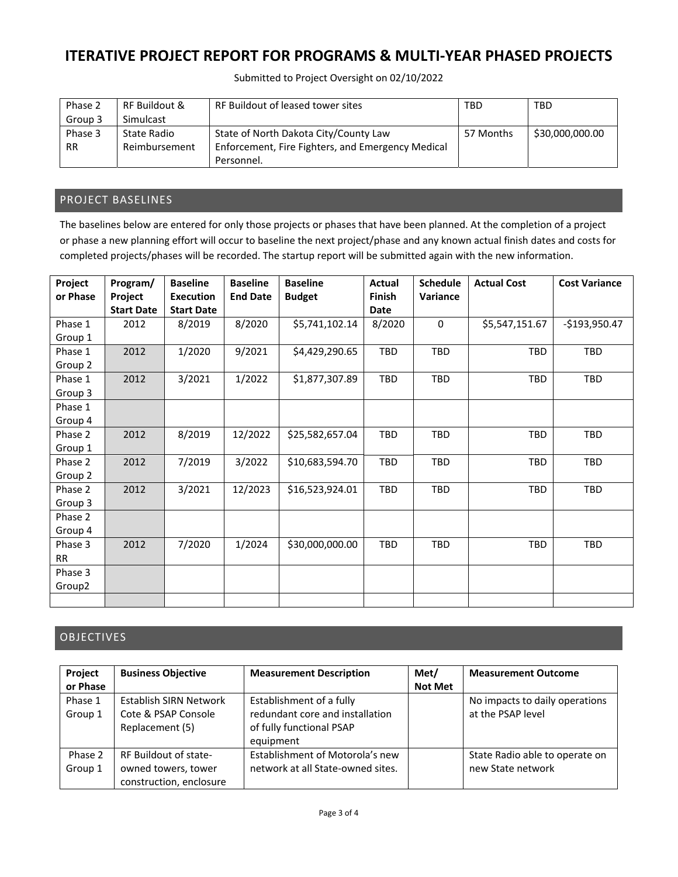Submitted to Project Oversight on 02/10/2022

| Phase 2   | RF Buildout & | RF Buildout of leased tower sites                 | TBD       | <b>TBD</b>      |
|-----------|---------------|---------------------------------------------------|-----------|-----------------|
| Group 3   | Simulcast     |                                                   |           |                 |
| Phase 3   | State Radio   | State of North Dakota City/County Law             | 57 Months | \$30,000,000.00 |
| <b>RR</b> | Reimbursement | Enforcement, Fire Fighters, and Emergency Medical |           |                 |
|           |               | Personnel.                                        |           |                 |

### PROJECT BASELINES

The baselines below are entered for only those projects or phases that have been planned. At the completion of a project or phase a new planning effort will occur to baseline the next project/phase and any known actual finish dates and costs for completed projects/phases will be recorded. The startup report will be submitted again with the new information.

| Project            | Program/          | <b>Baseline</b>   | <b>Baseline</b> | <b>Baseline</b> | Actual        | <b>Schedule</b> | <b>Actual Cost</b> | <b>Cost Variance</b> |
|--------------------|-------------------|-------------------|-----------------|-----------------|---------------|-----------------|--------------------|----------------------|
| or Phase           | Project           | <b>Execution</b>  | <b>End Date</b> | <b>Budget</b>   | <b>Finish</b> | Variance        |                    |                      |
|                    | <b>Start Date</b> | <b>Start Date</b> |                 |                 | <b>Date</b>   |                 |                    |                      |
| Phase 1            | 2012              | 8/2019            | 8/2020          | \$5,741,102.14  | 8/2020        | 0               | \$5,547,151.67     | $-$193,950.47$       |
| Group 1            |                   |                   |                 |                 |               |                 |                    |                      |
| Phase 1            | 2012              | 1/2020            | 9/2021          | \$4,429,290.65  | <b>TBD</b>    | <b>TBD</b>      | <b>TBD</b>         | <b>TBD</b>           |
| Group 2            |                   |                   |                 |                 |               |                 |                    |                      |
| Phase 1            | 2012              | 3/2021            | 1/2022          | \$1,877,307.89  | TBD           | TBD             | TBD                | TBD                  |
| Group 3            |                   |                   |                 |                 |               |                 |                    |                      |
| Phase 1            |                   |                   |                 |                 |               |                 |                    |                      |
| Group 4            |                   |                   |                 |                 |               |                 |                    |                      |
| Phase 2            | 2012              | 8/2019            | 12/2022         | \$25,582,657.04 | TBD           | <b>TBD</b>      | <b>TBD</b>         | <b>TBD</b>           |
| Group 1            |                   |                   |                 |                 |               |                 |                    |                      |
| Phase 2            | 2012              | 7/2019            | 3/2022          | \$10,683,594.70 | TBD           | TBD             | <b>TBD</b>         | <b>TBD</b>           |
| Group 2            |                   |                   |                 |                 |               |                 |                    |                      |
| Phase 2            | 2012              | 3/2021            | 12/2023         | \$16,523,924.01 | TBD           | <b>TBD</b>      | <b>TBD</b>         | TBD                  |
| Group 3            |                   |                   |                 |                 |               |                 |                    |                      |
| Phase 2            |                   |                   |                 |                 |               |                 |                    |                      |
| Group 4            |                   |                   |                 |                 |               |                 |                    |                      |
| Phase 3            | 2012              | 7/2020            | 1/2024          | \$30,000,000.00 | TBD           | <b>TBD</b>      | <b>TBD</b>         | TBD                  |
| <b>RR</b>          |                   |                   |                 |                 |               |                 |                    |                      |
| Phase 3            |                   |                   |                 |                 |               |                 |                    |                      |
| Group <sub>2</sub> |                   |                   |                 |                 |               |                 |                    |                      |
|                    |                   |                   |                 |                 |               |                 |                    |                      |

## OBJECTIVES

| Project<br>or Phase | <b>Business Objective</b>                                               | <b>Measurement Description</b>                                                                       | Met/<br><b>Not Met</b> | <b>Measurement Outcome</b>                          |
|---------------------|-------------------------------------------------------------------------|------------------------------------------------------------------------------------------------------|------------------------|-----------------------------------------------------|
| Phase 1<br>Group 1  | <b>Establish SIRN Network</b><br>Cote & PSAP Console<br>Replacement (5) | Establishment of a fully<br>redundant core and installation<br>of fully functional PSAP<br>equipment |                        | No impacts to daily operations<br>at the PSAP level |
| Phase 2<br>Group 1  | RF Buildout of state-<br>owned towers, tower<br>construction, enclosure | Establishment of Motorola's new<br>network at all State-owned sites.                                 |                        | State Radio able to operate on<br>new State network |